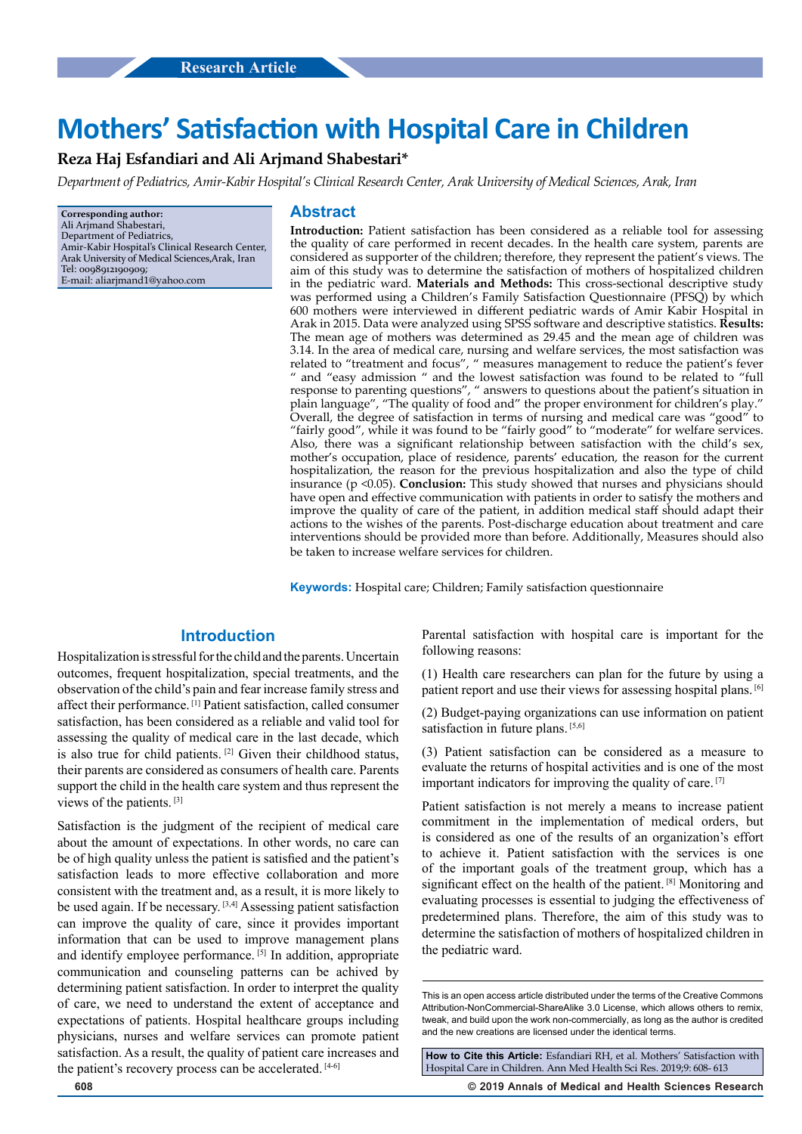# **Mothers' Satisfaction with Hospital Care in Children**

# **Reza Haj Esfandiari and Ali Arjmand Shabestari\***

*Department of Pediatrics, Amir-Kabir Hospital's Clinical Research Center, Arak University of Medical Sciences, Arak, Iran*

**Corresponding author:** Ali Arjmand Shabestari, Department of Pediatrics. Amir-Kabir Hospital's Clinical Research Center, Arak University of Medical Sciences,Arak, Iran Tel: 0098912190909; E-mail: aliarjmand1@yahoo.com

# **Abstract**

**Introduction:** Patient satisfaction has been considered as a reliable tool for assessing the quality of care performed in recent decades. In the health care system, parents are considered as supporter of the children; therefore, they represent the patient's views. The aim of this study was to determine the satisfaction of mothers of hospitalized children in the pediatric ward. **Materials and Methods:** This cross-sectional descriptive study was performed using a Children's Family Satisfaction Questionnaire (PFSQ) by which 600 mothers were interviewed in different pediatric wards of Amir Kabir Hospital in Arak in 2015. Data were analyzed using SPSS software and descriptive statistics. **Results:** The mean age of mothers was determined as 29.45 and the mean age of children was 3.14. In the area of medical care, nursing and welfare services, the most satisfaction was related to "treatment and focus", " measures management to reduce the patient's fever " and "easy admission " and the lowest satisfaction was found to be related to "full response to parenting questions", " answers to questions about the patient's situation in plain language", "The quality of food and" the proper environment for children's play." Overall, the degree of satisfaction in terms of nursing and medical care was "good" to "fairly good", while it was found to be "fairly good" to "moderate" for welfare services. Also, there was a significant relationship between satisfaction with the child's sex, mother's occupation, place of residence, parents' education, the reason for the current hospitalization, the reason for the previous hospitalization and also the type of child insurance (p <0.05). **Conclusion:** This study showed that nurses and physicians should have open and effective communication with patients in order to satisfy the mothers and improve the quality of care of the patient, in addition medical staff should adapt their actions to the wishes of the parents. Post-discharge education about treatment and care interventions should be provided more than before. Additionally, Measures should also be taken to increase welfare services for children.

**Keywords:** Hospital care; Children; Family satisfaction questionnaire

# **Introduction**

Hospitalization is stressful for the child and the parents. Uncertain outcomes, frequent hospitalization, special treatments, and the observation of the child's pain and fear increase family stress and affect their performance. [1] Patient satisfaction, called consumer satisfaction, has been considered as a reliable and valid tool for assessing the quality of medical care in the last decade, which is also true for child patients. [2] Given their childhood status, their parents are considered as consumers of health care. Parents support the child in the health care system and thus represent the views of the patients. [3]

Satisfaction is the judgment of the recipient of medical care about the amount of expectations. In other words, no care can be of high quality unless the patient is satisfied and the patient's satisfaction leads to more effective collaboration and more consistent with the treatment and, as a result, it is more likely to be used again. If be necessary.<sup>[3,4]</sup> Assessing patient satisfaction can improve the quality of care, since it provides important information that can be used to improve management plans and identify employee performance. [5] In addition, appropriate communication and counseling patterns can be achived by determining patient satisfaction. In order to interpret the quality of care, we need to understand the extent of acceptance and expectations of patients. Hospital healthcare groups including physicians, nurses and welfare services can promote patient satisfaction. As a result, the quality of patient care increases and the patient's recovery process can be accelerated. [4-6]

Parental satisfaction with hospital care is important for the following reasons:

(1) Health care researchers can plan for the future by using a patient report and use their views for assessing hospital plans. [6]

(2) Budget-paying organizations can use information on patient satisfaction in future plans. [5,6]

(3) Patient satisfaction can be considered as a measure to evaluate the returns of hospital activities and is one of the most important indicators for improving the quality of care. [7]

Patient satisfaction is not merely a means to increase patient commitment in the implementation of medical orders, but is considered as one of the results of an organization's effort to achieve it. Patient satisfaction with the services is one of the important goals of the treatment group, which has a significant effect on the health of the patient. <sup>[8]</sup> Monitoring and evaluating processes is essential to judging the effectiveness of predetermined plans. Therefore, the aim of this study was to determine the satisfaction of mothers of hospitalized children in the pediatric ward.

**How to Cite this Article:** Esfandiari RH, et al. Mothers' Satisfaction with Hospital Care in Children. Ann Med Health Sci Res. 2019;9: 608- 613

**608 © 2019 Annals of Medical and Health Sciences Research** 

This is an open access article distributed under the terms of the Creative Commons Attribution-NonCommercial-ShareAlike 3.0 License, which allows others to remix, tweak, and build upon the work non‑commercially, as long as the author is credited and the new creations are licensed under the identical terms.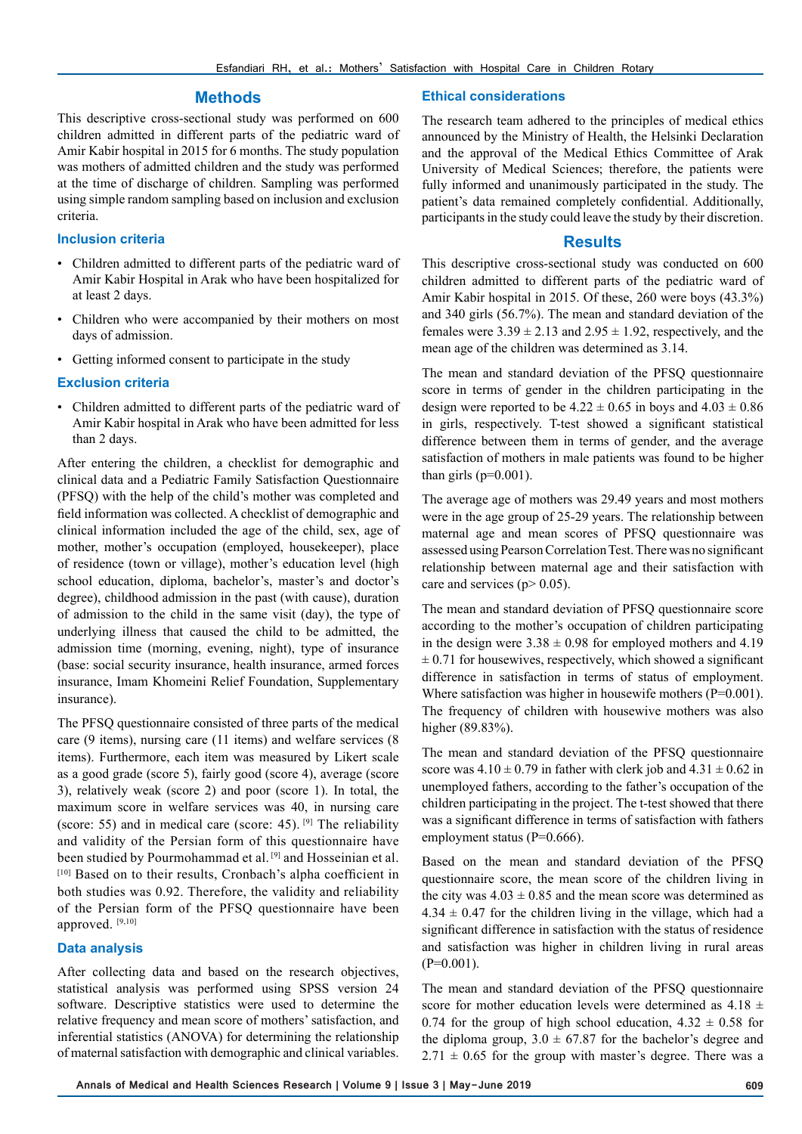## **Methods**

This descriptive cross-sectional study was performed on 600 children admitted in different parts of the pediatric ward of Amir Kabir hospital in 2015 for 6 months. The study population was mothers of admitted children and the study was performed at the time of discharge of children. Sampling was performed using simple random sampling based on inclusion and exclusion criteria.

#### **Inclusion criteria**

- Children admitted to different parts of the pediatric ward of Amir Kabir Hospital in Arak who have been hospitalized for at least 2 days.
- Children who were accompanied by their mothers on most days of admission.
- Getting informed consent to participate in the study

#### **Exclusion criteria**

• Children admitted to different parts of the pediatric ward of Amir Kabir hospital in Arak who have been admitted for less than 2 days.

After entering the children, a checklist for demographic and clinical data and a Pediatric Family Satisfaction Questionnaire (PFSQ) with the help of the child's mother was completed and field information was collected. A checklist of demographic and clinical information included the age of the child, sex, age of mother, mother's occupation (employed, housekeeper), place of residence (town or village), mother's education level (high school education, diploma, bachelor's, master's and doctor's degree), childhood admission in the past (with cause), duration of admission to the child in the same visit (day), the type of underlying illness that caused the child to be admitted, the admission time (morning, evening, night), type of insurance (base: social security insurance, health insurance, armed forces insurance, Imam Khomeini Relief Foundation, Supplementary insurance).

The PFSQ questionnaire consisted of three parts of the medical care (9 items), nursing care (11 items) and welfare services (8 items). Furthermore, each item was measured by Likert scale as a good grade (score 5), fairly good (score 4), average (score 3), relatively weak (score 2) and poor (score 1). In total, the maximum score in welfare services was 40, in nursing care (score: 55) and in medical care (score: 45). <sup>[9]</sup> The reliability and validity of the Persian form of this questionnaire have been studied by Pourmohammad et al.<sup>[9]</sup> and Hosseinian et al. [10] Based on to their results, Cronbach's alpha coefficient in both studies was 0.92. Therefore, the validity and reliability of the Persian form of the PFSQ questionnaire have been approved. [9,10]

### **Data analysis**

After collecting data and based on the research objectives, statistical analysis was performed using SPSS version 24 software. Descriptive statistics were used to determine the relative frequency and mean score of mothers' satisfaction, and inferential statistics (ANOVA) for determining the relationship of maternal satisfaction with demographic and clinical variables.

#### **Ethical considerations**

The research team adhered to the principles of medical ethics announced by the Ministry of Health, the Helsinki Declaration and the approval of the Medical Ethics Committee of Arak University of Medical Sciences; therefore, the patients were fully informed and unanimously participated in the study. The patient's data remained completely confidential. Additionally, participants in the study could leave the study by their discretion.

## **Results**

This descriptive cross-sectional study was conducted on 600 children admitted to different parts of the pediatric ward of Amir Kabir hospital in 2015. Of these, 260 were boys (43.3%) and 340 girls (56.7%). The mean and standard deviation of the females were  $3.39 \pm 2.13$  and  $2.95 \pm 1.92$ , respectively, and the mean age of the children was determined as 3.14.

The mean and standard deviation of the PFSQ questionnaire score in terms of gender in the children participating in the design were reported to be  $4.22 \pm 0.65$  in boys and  $4.03 \pm 0.86$ in girls, respectively. T-test showed a significant statistical difference between them in terms of gender, and the average satisfaction of mothers in male patients was found to be higher than girls ( $p=0.001$ ).

The average age of mothers was 29.49 years and most mothers were in the age group of 25-29 years. The relationship between maternal age and mean scores of PFSQ questionnaire was assessed using Pearson Correlation Test. There was no significant relationship between maternal age and their satisfaction with care and services ( $p > 0.05$ ).

The mean and standard deviation of PFSQ questionnaire score according to the mother's occupation of children participating in the design were  $3.38 \pm 0.98$  for employed mothers and 4.19  $\pm$  0.71 for housewives, respectively, which showed a significant difference in satisfaction in terms of status of employment. Where satisfaction was higher in housewife mothers (P=0.001). The frequency of children with housewive mothers was also higher (89.83%).

The mean and standard deviation of the PFSQ questionnaire score was  $4.10 \pm 0.79$  in father with clerk job and  $4.31 \pm 0.62$  in unemployed fathers, according to the father's occupation of the children participating in the project. The t-test showed that there was a significant difference in terms of satisfaction with fathers employment status (P=0.666).

Based on the mean and standard deviation of the PFSQ questionnaire score, the mean score of the children living in the city was  $4.03 \pm 0.85$  and the mean score was determined as  $4.34 \pm 0.47$  for the children living in the village, which had a significant difference in satisfaction with the status of residence and satisfaction was higher in children living in rural areas  $(P=0.001)$ .

The mean and standard deviation of the PFSQ questionnaire score for mother education levels were determined as  $4.18 \pm$ 0.74 for the group of high school education,  $4.32 \pm 0.58$  for the diploma group,  $3.0 \pm 67.87$  for the bachelor's degree and  $2.71 \pm 0.65$  for the group with master's degree. There was a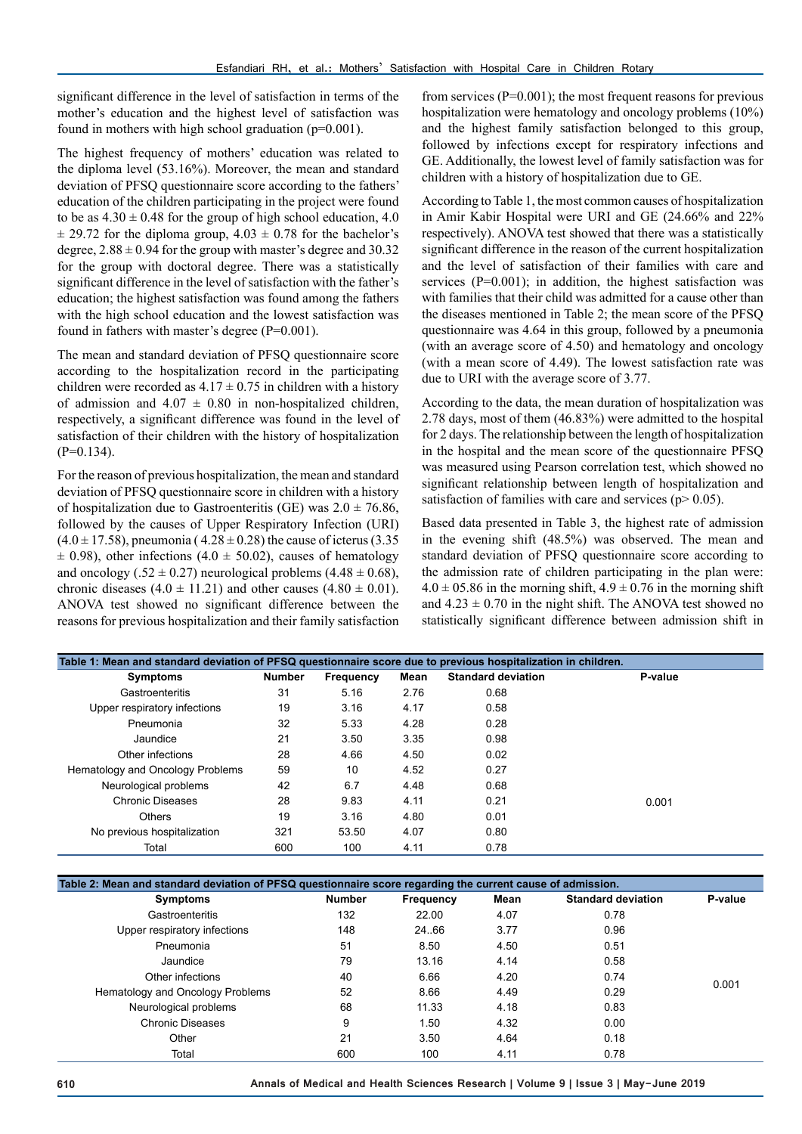significant difference in the level of satisfaction in terms of the mother's education and the highest level of satisfaction was found in mothers with high school graduation (p=0.001).

The highest frequency of mothers' education was related to the diploma level (53.16%). Moreover, the mean and standard deviation of PFSQ questionnaire score according to the fathers' education of the children participating in the project were found to be as  $4.30 \pm 0.48$  for the group of high school education, 4.0  $\pm$  29.72 for the diploma group, 4.03  $\pm$  0.78 for the bachelor's degree,  $2.88 \pm 0.94$  for the group with master's degree and 30.32 for the group with doctoral degree. There was a statistically significant difference in the level of satisfaction with the father's education; the highest satisfaction was found among the fathers with the high school education and the lowest satisfaction was found in fathers with master's degree (P=0.001).

The mean and standard deviation of PFSQ questionnaire score according to the hospitalization record in the participating children were recorded as  $4.17 \pm 0.75$  in children with a history of admission and  $4.07 \pm 0.80$  in non-hospitalized children, respectively, a significant difference was found in the level of satisfaction of their children with the history of hospitalization  $(P=0.134)$ .

For the reason of previous hospitalization, the mean and standard deviation of PFSQ questionnaire score in children with a history of hospitalization due to Gastroenteritis (GE) was  $2.0 \pm 76.86$ , followed by the causes of Upper Respiratory Infection (URI)  $(4.0 \pm 17.58)$ , pneumonia ( $4.28 \pm 0.28$ ) the cause of icterus (3.35  $\pm$  0.98), other infections (4.0  $\pm$  50.02), causes of hematology and oncology (.52  $\pm$  0.27) neurological problems (4.48  $\pm$  0.68), chronic diseases  $(4.0 \pm 11.21)$  and other causes  $(4.80 \pm 0.01)$ . ANOVA test showed no significant difference between the reasons for previous hospitalization and their family satisfaction

from services  $(P=0.001)$ ; the most frequent reasons for previous hospitalization were hematology and oncology problems (10%) and the highest family satisfaction belonged to this group, followed by infections except for respiratory infections and GE. Additionally, the lowest level of family satisfaction was for children with a history of hospitalization due to GE.

According to Table 1, the most common causes of hospitalization in Amir Kabir Hospital were URI and GE (24.66% and 22% respectively). ANOVA test showed that there was a statistically significant difference in the reason of the current hospitalization and the level of satisfaction of their families with care and services (P=0.001); in addition, the highest satisfaction was with families that their child was admitted for a cause other than the diseases mentioned in Table 2; the mean score of the PFSQ questionnaire was 4.64 in this group, followed by a pneumonia (with an average score of 4.50) and hematology and oncology (with a mean score of 4.49). The lowest satisfaction rate was due to URI with the average score of 3.77.

According to the data, the mean duration of hospitalization was 2.78 days, most of them (46.83%) were admitted to the hospital for 2 days. The relationship between the length of hospitalization in the hospital and the mean score of the questionnaire PFSQ was measured using Pearson correlation test, which showed no significant relationship between length of hospitalization and satisfaction of families with care and services ( $p$  > 0.05).

Based data presented in Table 3, the highest rate of admission in the evening shift (48.5%) was observed. The mean and standard deviation of PFSQ questionnaire score according to the admission rate of children participating in the plan were:  $4.0 \pm 05.86$  in the morning shift,  $4.9 \pm 0.76$  in the morning shift and  $4.23 \pm 0.70$  in the night shift. The ANOVA test showed no statistically significant difference between admission shift in

| Table 1: Mean and standard deviation of PFSQ questionnaire score due to previous hospitalization in children. |               |                  |      |                           |         |  |
|---------------------------------------------------------------------------------------------------------------|---------------|------------------|------|---------------------------|---------|--|
| <b>Symptoms</b>                                                                                               | <b>Number</b> | <b>Frequency</b> | Mean | <b>Standard deviation</b> | P-value |  |
| Gastroenteritis                                                                                               | 31            | 5.16             | 2.76 | 0.68                      |         |  |
| Upper respiratory infections                                                                                  | 19            | 3.16             | 4.17 | 0.58                      |         |  |
| Pneumonia                                                                                                     | 32            | 5.33             | 4.28 | 0.28                      |         |  |
| Jaundice                                                                                                      | 21            | 3.50             | 3.35 | 0.98                      |         |  |
| Other infections                                                                                              | 28            | 4.66             | 4.50 | 0.02                      |         |  |
| Hematology and Oncology Problems                                                                              | 59            | 10               | 4.52 | 0.27                      |         |  |
| Neurological problems                                                                                         | 42            | 6.7              | 4.48 | 0.68                      |         |  |
| <b>Chronic Diseases</b>                                                                                       | 28            | 9.83             | 4.11 | 0.21                      | 0.001   |  |
| <b>Others</b>                                                                                                 | 19            | 3.16             | 4.80 | 0.01                      |         |  |
| No previous hospitalization                                                                                   | 321           | 53.50            | 4.07 | 0.80                      |         |  |
| Total                                                                                                         | 600           | 100              | 4.11 | 0.78                      |         |  |

| Table 2: Mean and standard deviation of PFSQ questionnaire score regarding the current cause of admission. |               |           |      |                           |         |  |
|------------------------------------------------------------------------------------------------------------|---------------|-----------|------|---------------------------|---------|--|
| <b>Symptoms</b>                                                                                            | <b>Number</b> | Frequency | Mean | <b>Standard deviation</b> | P-value |  |
| Gastroenteritis                                                                                            | 132           | 22.00     | 4.07 | 0.78                      |         |  |
| Upper respiratory infections                                                                               | 148           | 24.66     | 3.77 | 0.96                      |         |  |
| Pneumonia                                                                                                  | 51            | 8.50      | 4.50 | 0.51                      |         |  |
| Jaundice                                                                                                   | 79            | 13.16     | 4.14 | 0.58                      |         |  |
| Other infections                                                                                           | 40            | 6.66      | 4.20 | 0.74                      | 0.001   |  |
| Hematology and Oncology Problems                                                                           | 52            | 8.66      | 4.49 | 0.29                      |         |  |
| Neurological problems                                                                                      | 68            | 11.33     | 4.18 | 0.83                      |         |  |
| <b>Chronic Diseases</b>                                                                                    | 9             | 1.50      | 4.32 | 0.00                      |         |  |
| Other                                                                                                      | 21            | 3.50      | 4.64 | 0.18                      |         |  |
| Total                                                                                                      | 600           | 100       | 4.11 | 0.78                      |         |  |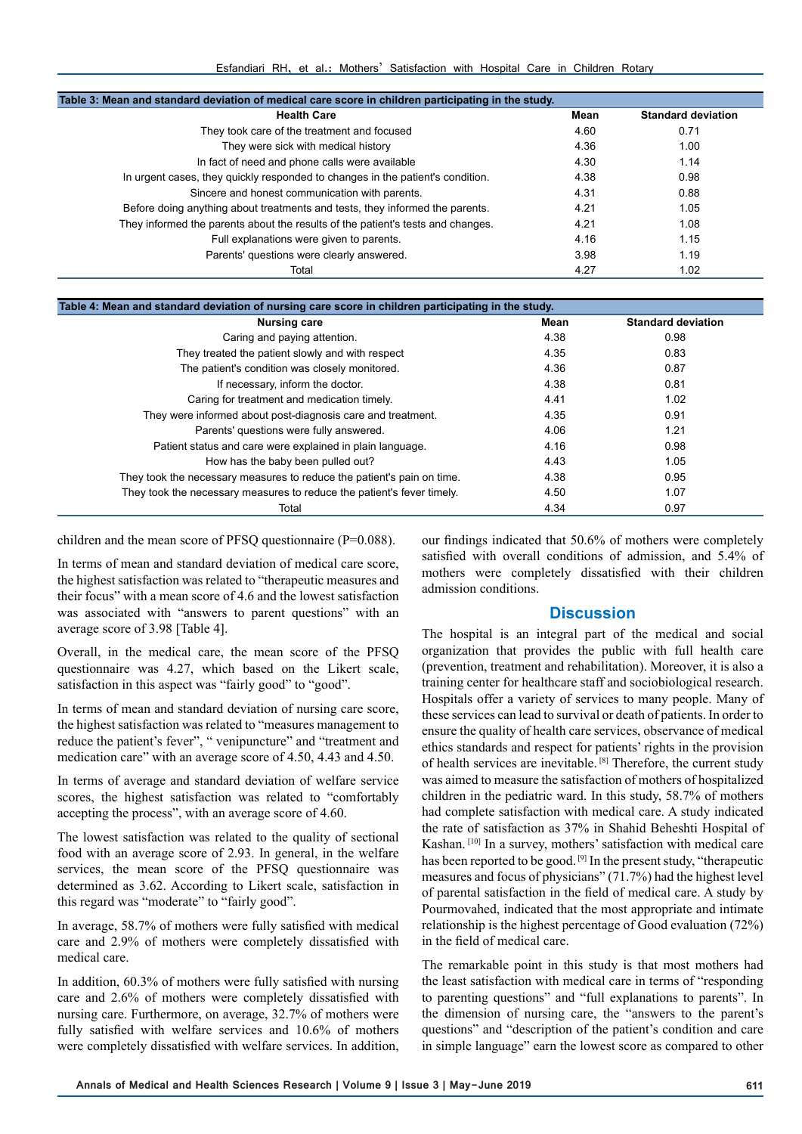| Table 3: Mean and standard deviation of medical care score in children participating in the study. |      |                           |  |  |  |
|----------------------------------------------------------------------------------------------------|------|---------------------------|--|--|--|
| <b>Health Care</b>                                                                                 |      | <b>Standard deviation</b> |  |  |  |
| They took care of the treatment and focused                                                        |      | 0.71                      |  |  |  |
| They were sick with medical history                                                                | 4.36 | 1.00                      |  |  |  |
| In fact of need and phone calls were available                                                     | 4.30 | 1.14                      |  |  |  |
| In urgent cases, they quickly responded to changes in the patient's condition.                     |      | 0.98                      |  |  |  |
| Sincere and honest communication with parents.                                                     | 4.31 | 0.88                      |  |  |  |
| Before doing anything about treatments and tests, they informed the parents.                       | 4.21 | 1.05                      |  |  |  |
| They informed the parents about the results of the patient's tests and changes.                    |      | 1.08                      |  |  |  |
| Full explanations were given to parents.                                                           | 4.16 | 1.15                      |  |  |  |
| Parents' questions were clearly answered.                                                          | 3.98 | 1.19                      |  |  |  |
| Total                                                                                              | 4.27 | 1.02                      |  |  |  |

| Table 4: Mean and standard deviation of nursing care score in children participating in the study. |      |                           |  |  |
|----------------------------------------------------------------------------------------------------|------|---------------------------|--|--|
| <b>Nursing care</b>                                                                                | Mean | <b>Standard deviation</b> |  |  |
| Caring and paying attention.                                                                       | 4.38 | 0.98                      |  |  |
| They treated the patient slowly and with respect                                                   | 4.35 | 0.83                      |  |  |
| The patient's condition was closely monitored.                                                     | 4.36 | 0.87                      |  |  |
| If necessary, inform the doctor.                                                                   | 4.38 | 0.81                      |  |  |
| Caring for treatment and medication timely.                                                        | 4.41 | 1.02                      |  |  |
| They were informed about post-diagnosis care and treatment.                                        | 4.35 | 0.91                      |  |  |
| Parents' questions were fully answered.                                                            | 4.06 | 1.21                      |  |  |
| Patient status and care were explained in plain language.                                          | 4.16 | 0.98                      |  |  |
| How has the baby been pulled out?                                                                  | 4.43 | 1.05                      |  |  |
| They took the necessary measures to reduce the patient's pain on time.                             | 4.38 | 0.95                      |  |  |
| They took the necessary measures to reduce the patient's fever timely.                             | 4.50 | 1.07                      |  |  |
| Total                                                                                              | 4.34 | 0.97                      |  |  |

children and the mean score of PFSQ questionnaire (P=0.088).

In terms of mean and standard deviation of medical care score, the highest satisfaction was related to "therapeutic measures and their focus" with a mean score of 4.6 and the lowest satisfaction was associated with "answers to parent questions" with an average score of 3.98 [Table 4].

Overall, in the medical care, the mean score of the PFSQ questionnaire was 4.27, which based on the Likert scale, satisfaction in this aspect was "fairly good" to "good".

In terms of mean and standard deviation of nursing care score, the highest satisfaction was related to "measures management to reduce the patient's fever", " venipuncture" and "treatment and medication care" with an average score of 4.50, 4.43 and 4.50.

In terms of average and standard deviation of welfare service scores, the highest satisfaction was related to "comfortably accepting the process", with an average score of 4.60.

The lowest satisfaction was related to the quality of sectional food with an average score of 2.93. In general, in the welfare services, the mean score of the PFSQ questionnaire was determined as 3.62. According to Likert scale, satisfaction in this regard was "moderate" to "fairly good".

In average, 58.7% of mothers were fully satisfied with medical care and 2.9% of mothers were completely dissatisfied with medical care.

In addition, 60.3% of mothers were fully satisfied with nursing care and 2.6% of mothers were completely dissatisfied with nursing care. Furthermore, on average, 32.7% of mothers were fully satisfied with welfare services and 10.6% of mothers were completely dissatisfied with welfare services. In addition,

our findings indicated that 50.6% of mothers were completely satisfied with overall conditions of admission, and 5.4% of mothers were completely dissatisfied with their children admission conditions.

## **Discussion**

The hospital is an integral part of the medical and social organization that provides the public with full health care (prevention, treatment and rehabilitation). Moreover, it is also a training center for healthcare staff and sociobiological research. Hospitals offer a variety of services to many people. Many of these services can lead to survival or death of patients. In order to ensure the quality of health care services, observance of medical ethics standards and respect for patients' rights in the provision of health services are inevitable. [8] Therefore, the current study was aimed to measure the satisfaction of mothers of hospitalized children in the pediatric ward. In this study, 58.7% of mothers had complete satisfaction with medical care. A study indicated the rate of satisfaction as 37% in Shahid Beheshti Hospital of Kashan. [10] In a survey, mothers' satisfaction with medical care has been reported to be good.<sup>[9]</sup> In the present study, "therapeutic measures and focus of physicians" (71.7%) had the highest level of parental satisfaction in the field of medical care. A study by Pourmovahed, indicated that the most appropriate and intimate relationship is the highest percentage of Good evaluation (72%) in the field of medical care.

The remarkable point in this study is that most mothers had the least satisfaction with medical care in terms of "responding to parenting questions" and "full explanations to parents". In the dimension of nursing care, the "answers to the parent's questions" and "description of the patient's condition and care in simple language" earn the lowest score as compared to other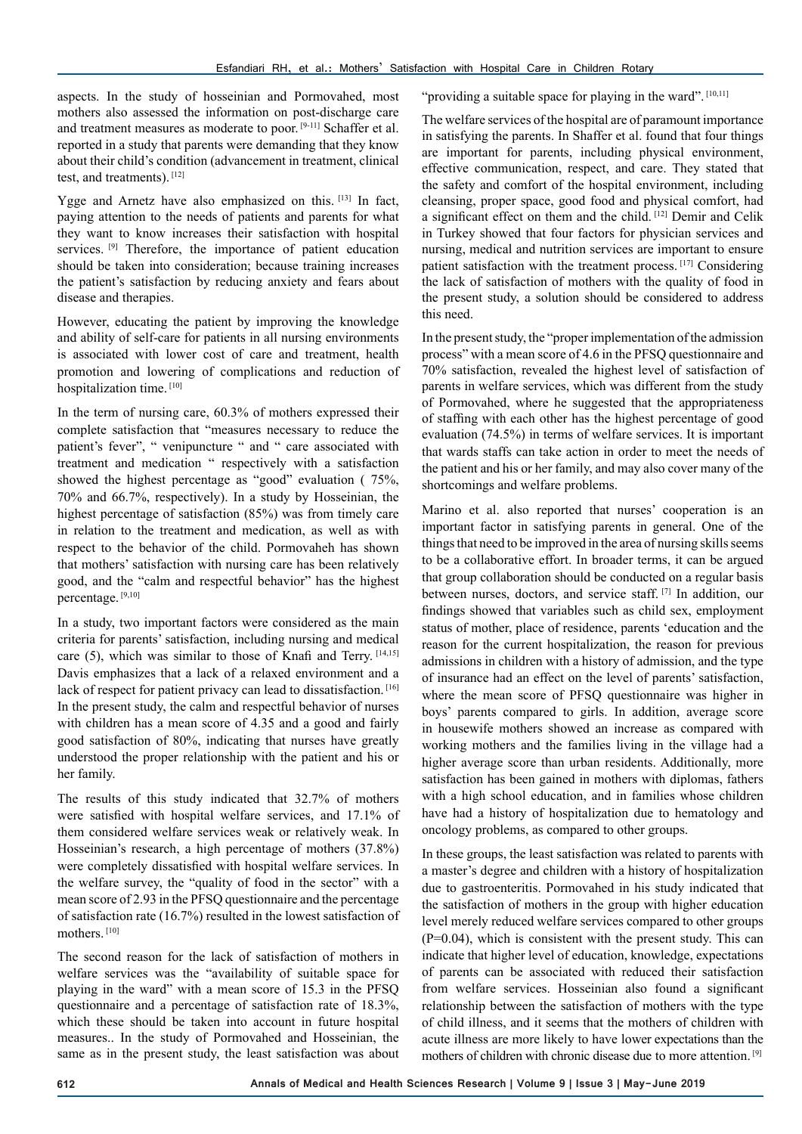aspects. In the study of hosseinian and Pormovahed, most mothers also assessed the information on post-discharge care and treatment measures as moderate to poor. [9-11] Schaffer et al. reported in a study that parents were demanding that they know about their child's condition (advancement in treatment, clinical test, and treatments). [12]

Ygge and Arnetz have also emphasized on this. [13] In fact, paying attention to the needs of patients and parents for what they want to know increases their satisfaction with hospital services. <sup>[9]</sup> Therefore, the importance of patient education should be taken into consideration; because training increases the patient's satisfaction by reducing anxiety and fears about disease and therapies.

However, educating the patient by improving the knowledge and ability of self-care for patients in all nursing environments is associated with lower cost of care and treatment, health promotion and lowering of complications and reduction of hospitalization time. [10]

In the term of nursing care, 60.3% of mothers expressed their complete satisfaction that "measures necessary to reduce the patient's fever", " venipuncture " and " care associated with treatment and medication " respectively with a satisfaction showed the highest percentage as "good" evaluation ( 75%, 70% and 66.7%, respectively). In a study by Hosseinian, the highest percentage of satisfaction (85%) was from timely care in relation to the treatment and medication, as well as with respect to the behavior of the child. Pormovaheh has shown that mothers' satisfaction with nursing care has been relatively good, and the "calm and respectful behavior" has the highest percentage. [9,10]

In a study, two important factors were considered as the main criteria for parents' satisfaction, including nursing and medical care  $(5)$ , which was similar to those of Knafi and Terry. [14,15] Davis emphasizes that a lack of a relaxed environment and a lack of respect for patient privacy can lead to dissatisfaction.<sup>[16]</sup> In the present study, the calm and respectful behavior of nurses with children has a mean score of 4.35 and a good and fairly good satisfaction of 80%, indicating that nurses have greatly understood the proper relationship with the patient and his or her family.

The results of this study indicated that 32.7% of mothers were satisfied with hospital welfare services, and 17.1% of them considered welfare services weak or relatively weak. In Hosseinian's research, a high percentage of mothers (37.8%) were completely dissatisfied with hospital welfare services. In the welfare survey, the "quality of food in the sector" with a mean score of 2.93 in the PFSQ questionnaire and the percentage of satisfaction rate (16.7%) resulted in the lowest satisfaction of mothers. [10]

The second reason for the lack of satisfaction of mothers in welfare services was the "availability of suitable space for playing in the ward" with a mean score of 15.3 in the PFSQ questionnaire and a percentage of satisfaction rate of 18.3%, which these should be taken into account in future hospital measures.. In the study of Pormovahed and Hosseinian, the same as in the present study, the least satisfaction was about "providing a suitable space for playing in the ward". [10,11]

The welfare services of the hospital are of paramount importance in satisfying the parents. In Shaffer et al. found that four things are important for parents, including physical environment, effective communication, respect, and care. They stated that the safety and comfort of the hospital environment, including cleansing, proper space, good food and physical comfort, had a significant effect on them and the child. [12] Demir and Celik in Turkey showed that four factors for physician services and nursing, medical and nutrition services are important to ensure patient satisfaction with the treatment process. [17] Considering the lack of satisfaction of mothers with the quality of food in the present study, a solution should be considered to address this need.

In the present study, the "proper implementation of the admission process" with a mean score of 4.6 in the PFSQ questionnaire and 70% satisfaction, revealed the highest level of satisfaction of parents in welfare services, which was different from the study of Pormovahed, where he suggested that the appropriateness of staffing with each other has the highest percentage of good evaluation (74.5%) in terms of welfare services. It is important that wards staffs can take action in order to meet the needs of the patient and his or her family, and may also cover many of the shortcomings and welfare problems.

Marino et al. also reported that nurses' cooperation is an important factor in satisfying parents in general. One of the things that need to be improved in the area of nursing skills seems to be a collaborative effort. In broader terms, it can be argued that group collaboration should be conducted on a regular basis between nurses, doctors, and service staff. [7] In addition, our findings showed that variables such as child sex, employment status of mother, place of residence, parents 'education and the reason for the current hospitalization, the reason for previous admissions in children with a history of admission, and the type of insurance had an effect on the level of parents' satisfaction, where the mean score of PFSQ questionnaire was higher in boys' parents compared to girls. In addition, average score in housewife mothers showed an increase as compared with working mothers and the families living in the village had a higher average score than urban residents. Additionally, more satisfaction has been gained in mothers with diplomas, fathers with a high school education, and in families whose children have had a history of hospitalization due to hematology and oncology problems, as compared to other groups.

In these groups, the least satisfaction was related to parents with a master's degree and children with a history of hospitalization due to gastroenteritis. Pormovahed in his study indicated that the satisfaction of mothers in the group with higher education level merely reduced welfare services compared to other groups (P=0.04), which is consistent with the present study. This can indicate that higher level of education, knowledge, expectations of parents can be associated with reduced their satisfaction from welfare services. Hosseinian also found a significant relationship between the satisfaction of mothers with the type of child illness, and it seems that the mothers of children with acute illness are more likely to have lower expectations than the mothers of children with chronic disease due to more attention. [9]